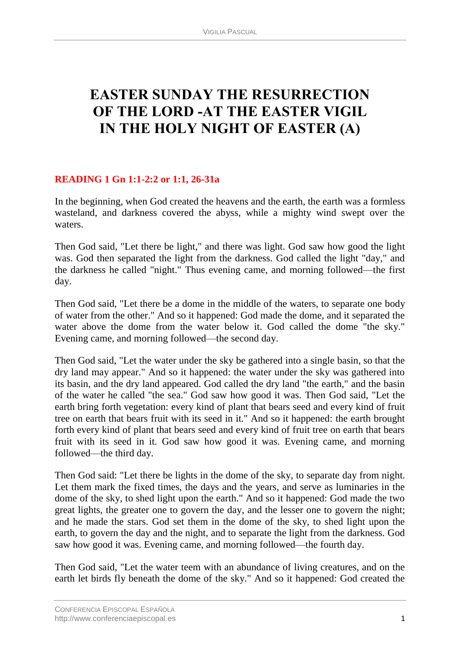# **EASTER SUNDAY THE RESURRECTION OF THE LORD -AT THE EASTER VIGIL IN THE HOLY NIGHT OF EASTER (A)**

# **READING 1 Gn 1:1-2:2 or 1:1, 26-31a**

In the beginning, when God created the heavens and the earth, the earth was a formless wasteland, and darkness covered the abyss, while a mighty wind swept over the waters.

Then God said, "Let there be light," and there was light. God saw how good the light was. God then separated the light from the darkness. God called the light "day," and the darkness he called "night." Thus evening came, and morning followed—the first day.

Then God said, "Let there be a dome in the middle of the waters, to separate one body of water from the other." And so it happened: God made the dome, and it separated the water above the dome from the water below it. God called the dome "the sky." Evening came, and morning followed—the second day.

Then God said, "Let the water under the sky be gathered into a single basin, so that the dry land may appear." And so it happened: the water under the sky was gathered into its basin, and the dry land appeared. God called the dry land "the earth," and the basin of the water he called "the sea." God saw how good it was. Then God said, "Let the earth bring forth vegetation: every kind of plant that bears seed and every kind of fruit tree on earth that bears fruit with its seed in it." And so it happened: the earth brought forth every kind of plant that bears seed and every kind of fruit tree on earth that bears fruit with its seed in it. God saw how good it was. Evening came, and morning followed—the third day.

Then God said: "Let there be lights in the dome of the sky, to separate day from night. Let them mark the fixed times, the days and the years, and serve as luminaries in the dome of the sky, to shed light upon the earth." And so it happened: God made the two great lights, the greater one to govern the day, and the lesser one to govern the night; and he made the stars. God set them in the dome of the sky, to shed light upon the earth, to govern the day and the night, and to separate the light from the darkness. God saw how good it was. Evening came, and morning followed—the fourth day.

Then God said, "Let the water teem with an abundance of living creatures, and on the earth let birds fly beneath the dome of the sky." And so it happened: God created the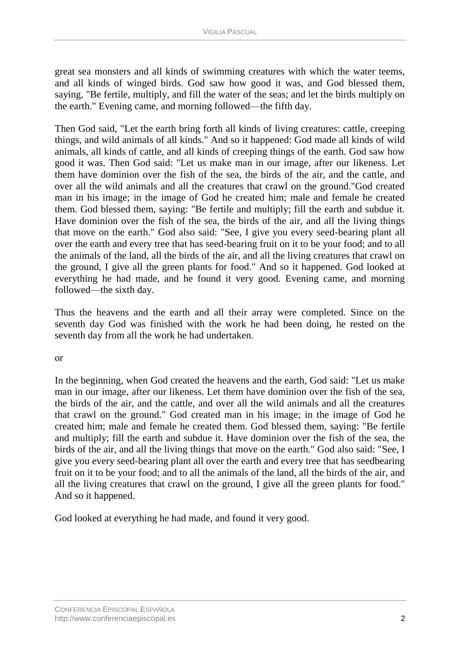great sea monsters and all kinds of swimming creatures with which the water teems, and all kinds of winged birds. God saw how good it was, and God blessed them, saying, "Be fertile, multiply, and fill the water of the seas; and let the birds multiply on the earth." Evening came, and morning followed—the fifth day.

Then God said, "Let the earth bring forth all kinds of living creatures: cattle, creeping things, and wild animals of all kinds." And so it happened: God made all kinds of wild animals, all kinds of cattle, and all kinds of creeping things of the earth. God saw how good it was. Then God said: "Let us make man in our image, after our likeness. Let them have dominion over the fish of the sea, the birds of the air, and the cattle, and over all the wild animals and all the creatures that crawl on the ground."God created man in his image; in the image of God he created him; male and female he created them. God blessed them, saying: "Be fertile and multiply; fill the earth and subdue it. Have dominion over the fish of the sea, the birds of the air, and all the living things that move on the earth." God also said: "See, I give you every seed-bearing plant all over the earth and every tree that has seed-bearing fruit on it to be your food; and to all the animals of the land, all the birds of the air, and all the living creatures that crawl on the ground, I give all the green plants for food." And so it happened. God looked at everything he had made, and he found it very good. Evening came, and morning followed—the sixth day.

Thus the heavens and the earth and all their array were completed. Since on the seventh day God was finished with the work he had been doing, he rested on the seventh day from all the work he had undertaken.

or

In the beginning, when God created the heavens and the earth, God said: "Let us make man in our image, after our likeness. Let them have dominion over the fish of the sea, the birds of the air, and the cattle, and over all the wild animals and all the creatures that crawl on the ground." God created man in his image; in the image of God he created him; male and female he created them. God blessed them, saying: "Be fertile and multiply; fill the earth and subdue it. Have dominion over the fish of the sea, the birds of the air, and all the living things that move on the earth." God also said: "See, I give you every seed-bearing plant all over the earth and every tree that has seedbearing fruit on it to be your food; and to all the animals of the land, all the birds of the air, and all the living creatures that crawl on the ground, I give all the green plants for food." And so it happened.

God looked at everything he had made, and found it very good.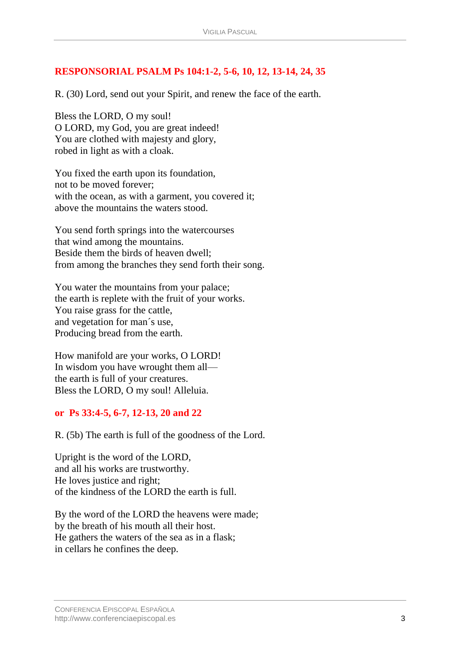## **RESPONSORIAL PSALM Ps 104:1-2, 5-6, 10, 12, 13-14, 24, 35**

R. (30) Lord, send out your Spirit, and renew the face of the earth.

Bless the LORD, O my soul! O LORD, my God, you are great indeed! You are clothed with majesty and glory, robed in light as with a cloak.

You fixed the earth upon its foundation, not to be moved forever; with the ocean, as with a garment, you covered it; above the mountains the waters stood.

You send forth springs into the watercourses that wind among the mountains. Beside them the birds of heaven dwell; from among the branches they send forth their song.

You water the mountains from your palace; the earth is replete with the fruit of your works. You raise grass for the cattle, and vegetation for man´s use, Producing bread from the earth.

How manifold are your works, O LORD! In wisdom you have wrought them all the earth is full of your creatures. Bless the LORD, O my soul! Alleluia.

#### **or Ps 33:4-5, 6-7, 12-13, 20 and 22**

R. (5b) The earth is full of the goodness of the Lord.

Upright is the word of the LORD, and all his works are trustworthy. He loves justice and right; of the kindness of the LORD the earth is full.

By the word of the LORD the heavens were made; by the breath of his mouth all their host. He gathers the waters of the sea as in a flask; in cellars he confines the deep.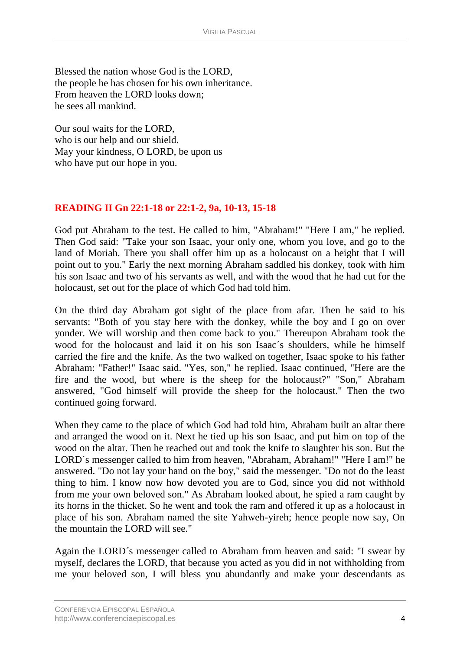Blessed the nation whose God is the LORD, the people he has chosen for his own inheritance. From heaven the LORD looks down; he sees all mankind.

Our soul waits for the LORD, who is our help and our shield. May your kindness, O LORD, be upon us who have put our hope in you.

## **READING II Gn 22:1-18 or 22:1-2, 9a, 10-13, 15-18**

God put Abraham to the test. He called to him, "Abraham!" "Here I am," he replied. Then God said: "Take your son Isaac, your only one, whom you love, and go to the land of Moriah. There you shall offer him up as a holocaust on a height that I will point out to you." Early the next morning Abraham saddled his donkey, took with him his son Isaac and two of his servants as well, and with the wood that he had cut for the holocaust, set out for the place of which God had told him.

On the third day Abraham got sight of the place from afar. Then he said to his servants: "Both of you stay here with the donkey, while the boy and I go on over yonder. We will worship and then come back to you." Thereupon Abraham took the wood for the holocaust and laid it on his son Isaac´s shoulders, while he himself carried the fire and the knife. As the two walked on together, Isaac spoke to his father Abraham: "Father!" Isaac said. "Yes, son," he replied. Isaac continued, "Here are the fire and the wood, but where is the sheep for the holocaust?" "Son," Abraham answered, "God himself will provide the sheep for the holocaust." Then the two continued going forward.

When they came to the place of which God had told him, Abraham built an altar there and arranged the wood on it. Next he tied up his son Isaac, and put him on top of the wood on the altar. Then he reached out and took the knife to slaughter his son. But the LORD´s messenger called to him from heaven, "Abraham, Abraham!" "Here I am!" he answered. "Do not lay your hand on the boy," said the messenger. "Do not do the least thing to him. I know now how devoted you are to God, since you did not withhold from me your own beloved son." As Abraham looked about, he spied a ram caught by its horns in the thicket. So he went and took the ram and offered it up as a holocaust in place of his son. Abraham named the site Yahweh-yireh; hence people now say, On the mountain the LORD will see."

Again the LORD´s messenger called to Abraham from heaven and said: "I swear by myself, declares the LORD, that because you acted as you did in not withholding from me your beloved son, I will bless you abundantly and make your descendants as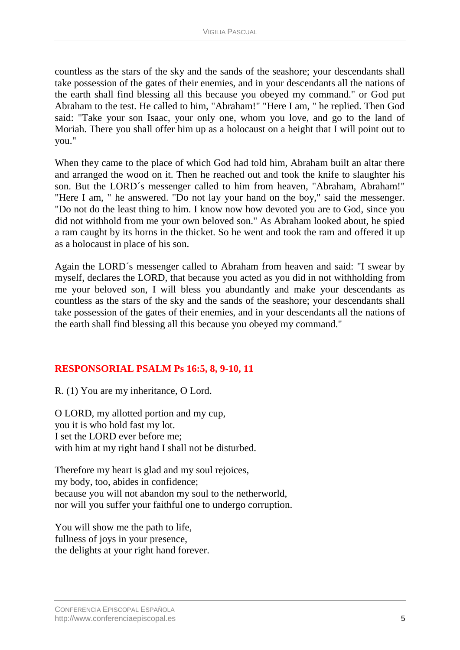countless as the stars of the sky and the sands of the seashore; your descendants shall take possession of the gates of their enemies, and in your descendants all the nations of the earth shall find blessing all this because you obeyed my command." or God put Abraham to the test. He called to him, "Abraham!" "Here I am, " he replied. Then God said: "Take your son Isaac, your only one, whom you love, and go to the land of Moriah. There you shall offer him up as a holocaust on a height that I will point out to you."

When they came to the place of which God had told him, Abraham built an altar there and arranged the wood on it. Then he reached out and took the knife to slaughter his son. But the LORD´s messenger called to him from heaven, "Abraham, Abraham!" "Here I am, " he answered. "Do not lay your hand on the boy," said the messenger. "Do not do the least thing to him. I know now how devoted you are to God, since you did not withhold from me your own beloved son." As Abraham looked about, he spied a ram caught by its horns in the thicket. So he went and took the ram and offered it up as a holocaust in place of his son.

Again the LORD´s messenger called to Abraham from heaven and said: "I swear by myself, declares the LORD, that because you acted as you did in not withholding from me your beloved son, I will bless you abundantly and make your descendants as countless as the stars of the sky and the sands of the seashore; your descendants shall take possession of the gates of their enemies, and in your descendants all the nations of the earth shall find blessing all this because you obeyed my command."

# **RESPONSORIAL PSALM Ps 16:5, 8, 9-10, 11**

R. (1) You are my inheritance, O Lord.

O LORD, my allotted portion and my cup, you it is who hold fast my lot. I set the LORD ever before me; with him at my right hand I shall not be disturbed.

Therefore my heart is glad and my soul rejoices, my body, too, abides in confidence; because you will not abandon my soul to the netherworld, nor will you suffer your faithful one to undergo corruption.

You will show me the path to life, fullness of joys in your presence, the delights at your right hand forever.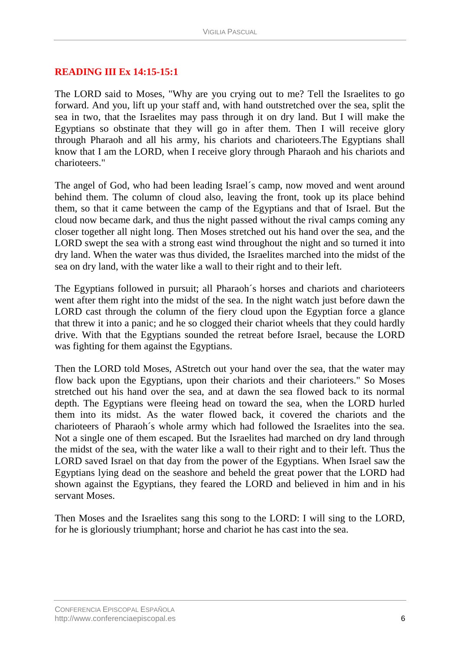#### **READING III Ex 14:15-15:1**

The LORD said to Moses, "Why are you crying out to me? Tell the Israelites to go forward. And you, lift up your staff and, with hand outstretched over the sea, split the sea in two, that the Israelites may pass through it on dry land. But I will make the Egyptians so obstinate that they will go in after them. Then I will receive glory through Pharaoh and all his army, his chariots and charioteers.The Egyptians shall know that I am the LORD, when I receive glory through Pharaoh and his chariots and charioteers."

The angel of God, who had been leading Israel´s camp, now moved and went around behind them. The column of cloud also, leaving the front, took up its place behind them, so that it came between the camp of the Egyptians and that of Israel. But the cloud now became dark, and thus the night passed without the rival camps coming any closer together all night long. Then Moses stretched out his hand over the sea, and the LORD swept the sea with a strong east wind throughout the night and so turned it into dry land. When the water was thus divided, the Israelites marched into the midst of the sea on dry land, with the water like a wall to their right and to their left.

The Egyptians followed in pursuit; all Pharaoh´s horses and chariots and charioteers went after them right into the midst of the sea. In the night watch just before dawn the LORD cast through the column of the fiery cloud upon the Egyptian force a glance that threw it into a panic; and he so clogged their chariot wheels that they could hardly drive. With that the Egyptians sounded the retreat before Israel, because the LORD was fighting for them against the Egyptians.

Then the LORD told Moses, AStretch out your hand over the sea, that the water may flow back upon the Egyptians, upon their chariots and their charioteers." So Moses stretched out his hand over the sea, and at dawn the sea flowed back to its normal depth. The Egyptians were fleeing head on toward the sea, when the LORD hurled them into its midst. As the water flowed back, it covered the chariots and the charioteers of Pharaoh´s whole army which had followed the Israelites into the sea. Not a single one of them escaped. But the Israelites had marched on dry land through the midst of the sea, with the water like a wall to their right and to their left. Thus the LORD saved Israel on that day from the power of the Egyptians. When Israel saw the Egyptians lying dead on the seashore and beheld the great power that the LORD had shown against the Egyptians, they feared the LORD and believed in him and in his servant Moses.

Then Moses and the Israelites sang this song to the LORD: I will sing to the LORD, for he is gloriously triumphant; horse and chariot he has cast into the sea.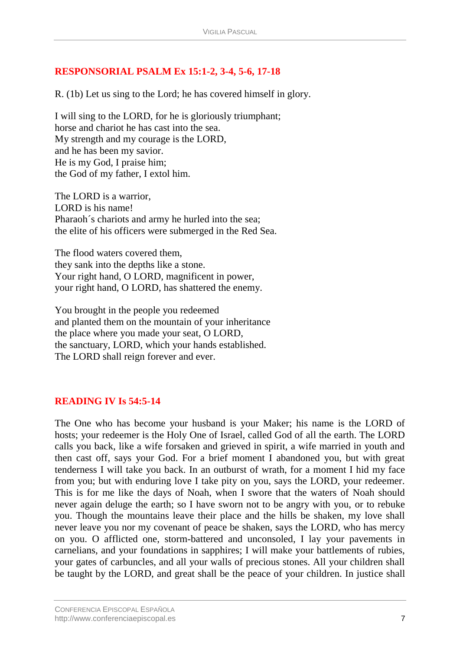# **RESPONSORIAL PSALM Ex 15:1-2, 3-4, 5-6, 17-18**

R. (1b) Let us sing to the Lord; he has covered himself in glory.

I will sing to the LORD, for he is gloriously triumphant; horse and chariot he has cast into the sea. My strength and my courage is the LORD, and he has been my savior. He is my God, I praise him; the God of my father, I extol him.

The LORD is a warrior, LORD is his name! Pharaoh´s chariots and army he hurled into the sea; the elite of his officers were submerged in the Red Sea.

The flood waters covered them, they sank into the depths like a stone. Your right hand, O LORD, magnificent in power, your right hand, O LORD, has shattered the enemy.

You brought in the people you redeemed and planted them on the mountain of your inheritance the place where you made your seat, O LORD, the sanctuary, LORD, which your hands established. The LORD shall reign forever and ever.

# **READING IV Is 54:5-14**

The One who has become your husband is your Maker; his name is the LORD of hosts; your redeemer is the Holy One of Israel, called God of all the earth. The LORD calls you back, like a wife forsaken and grieved in spirit, a wife married in youth and then cast off, says your God. For a brief moment I abandoned you, but with great tenderness I will take you back. In an outburst of wrath, for a moment I hid my face from you; but with enduring love I take pity on you, says the LORD, your redeemer. This is for me like the days of Noah, when I swore that the waters of Noah should never again deluge the earth; so I have sworn not to be angry with you, or to rebuke you. Though the mountains leave their place and the hills be shaken, my love shall never leave you nor my covenant of peace be shaken, says the LORD, who has mercy on you. O afflicted one, storm-battered and unconsoled, I lay your pavements in carnelians, and your foundations in sapphires; I will make your battlements of rubies, your gates of carbuncles, and all your walls of precious stones. All your children shall be taught by the LORD, and great shall be the peace of your children. In justice shall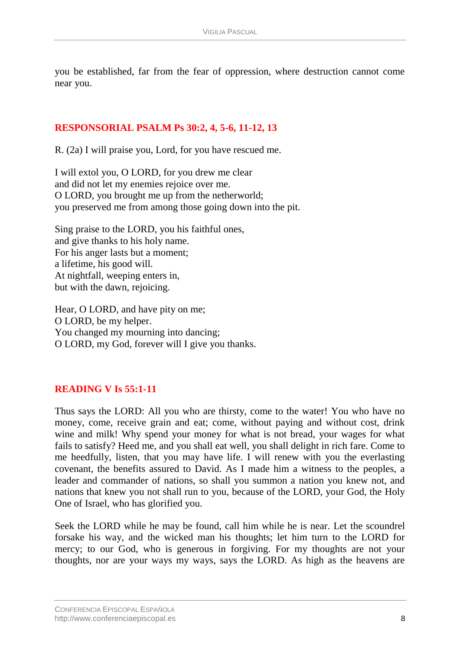you be established, far from the fear of oppression, where destruction cannot come near you.

#### **RESPONSORIAL PSALM Ps 30:2, 4, 5-6, 11-12, 13**

R. (2a) I will praise you, Lord, for you have rescued me.

I will extol you, O LORD, for you drew me clear and did not let my enemies rejoice over me. O LORD, you brought me up from the netherworld; you preserved me from among those going down into the pit.

Sing praise to the LORD, you his faithful ones, and give thanks to his holy name. For his anger lasts but a moment; a lifetime, his good will. At nightfall, weeping enters in, but with the dawn, rejoicing.

Hear, O LORD, and have pity on me; O LORD, be my helper. You changed my mourning into dancing; O LORD, my God, forever will I give you thanks.

# **READING V Is 55:1-11**

Thus says the LORD: All you who are thirsty, come to the water! You who have no money, come, receive grain and eat; come, without paying and without cost, drink wine and milk! Why spend your money for what is not bread, your wages for what fails to satisfy? Heed me, and you shall eat well, you shall delight in rich fare. Come to me heedfully, listen, that you may have life. I will renew with you the everlasting covenant, the benefits assured to David. As I made him a witness to the peoples, a leader and commander of nations, so shall you summon a nation you knew not, and nations that knew you not shall run to you, because of the LORD, your God, the Holy One of Israel, who has glorified you.

Seek the LORD while he may be found, call him while he is near. Let the scoundrel forsake his way, and the wicked man his thoughts; let him turn to the LORD for mercy; to our God, who is generous in forgiving. For my thoughts are not your thoughts, nor are your ways my ways, says the LORD. As high as the heavens are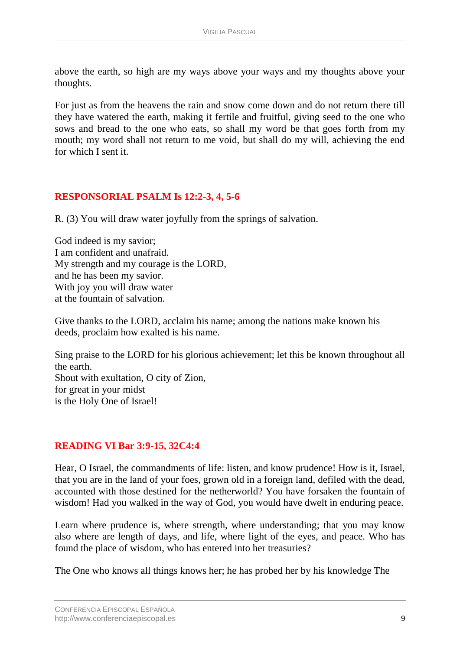above the earth, so high are my ways above your ways and my thoughts above your thoughts.

For just as from the heavens the rain and snow come down and do not return there till they have watered the earth, making it fertile and fruitful, giving seed to the one who sows and bread to the one who eats, so shall my word be that goes forth from my mouth; my word shall not return to me void, but shall do my will, achieving the end for which I sent it.

## **RESPONSORIAL PSALM Is 12:2-3, 4, 5-6**

R. (3) You will draw water joyfully from the springs of salvation.

God indeed is my savior; I am confident and unafraid. My strength and my courage is the LORD, and he has been my savior. With joy you will draw water at the fountain of salvation.

Give thanks to the LORD, acclaim his name; among the nations make known his deeds, proclaim how exalted is his name.

Sing praise to the LORD for his glorious achievement; let this be known throughout all the earth. Shout with exultation, O city of Zion, for great in your midst is the Holy One of Israel!

# **READING VI Bar 3:9-15, 32C4:4**

Hear, O Israel, the commandments of life: listen, and know prudence! How is it, Israel, that you are in the land of your foes, grown old in a foreign land, defiled with the dead, accounted with those destined for the netherworld? You have forsaken the fountain of wisdom! Had you walked in the way of God, you would have dwelt in enduring peace.

Learn where prudence is, where strength, where understanding; that you may know also where are length of days, and life, where light of the eyes, and peace. Who has found the place of wisdom, who has entered into her treasuries?

The One who knows all things knows her; he has probed her by his knowledge The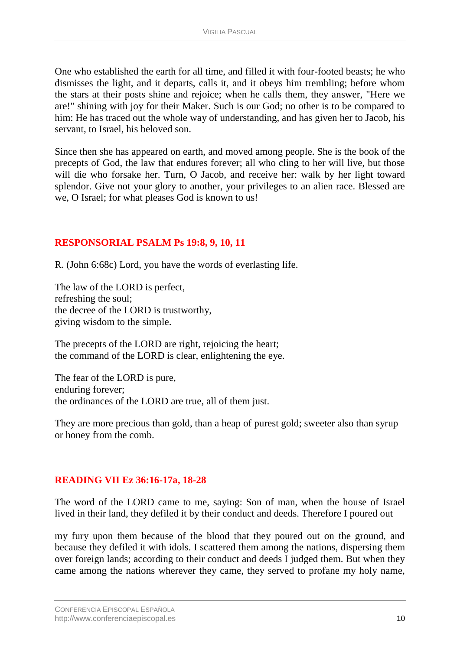One who established the earth for all time, and filled it with four-footed beasts; he who dismisses the light, and it departs, calls it, and it obeys him trembling; before whom the stars at their posts shine and rejoice; when he calls them, they answer, "Here we are!" shining with joy for their Maker. Such is our God; no other is to be compared to him: He has traced out the whole way of understanding, and has given her to Jacob, his servant, to Israel, his beloved son.

Since then she has appeared on earth, and moved among people. She is the book of the precepts of God, the law that endures forever; all who cling to her will live, but those will die who forsake her. Turn, O Jacob, and receive her: walk by her light toward splendor. Give not your glory to another, your privileges to an alien race. Blessed are we, O Israel; for what pleases God is known to us!

## **RESPONSORIAL PSALM Ps 19:8, 9, 10, 11**

R. (John 6:68c) Lord, you have the words of everlasting life.

The law of the LORD is perfect, refreshing the soul; the decree of the LORD is trustworthy, giving wisdom to the simple.

The precepts of the LORD are right, rejoicing the heart; the command of the LORD is clear, enlightening the eye.

The fear of the LORD is pure, enduring forever; the ordinances of the LORD are true, all of them just.

They are more precious than gold, than a heap of purest gold; sweeter also than syrup or honey from the comb.

#### **READING VII Ez 36:16-17a, 18-28**

The word of the LORD came to me, saying: Son of man, when the house of Israel lived in their land, they defiled it by their conduct and deeds. Therefore I poured out

my fury upon them because of the blood that they poured out on the ground, and because they defiled it with idols. I scattered them among the nations, dispersing them over foreign lands; according to their conduct and deeds I judged them. But when they came among the nations wherever they came, they served to profane my holy name,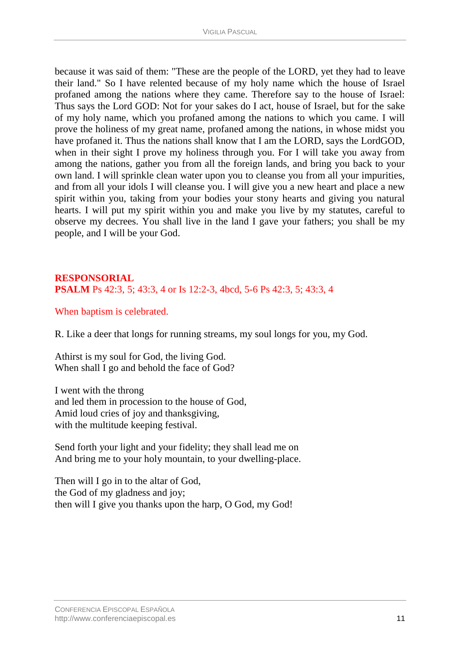because it was said of them: "These are the people of the LORD, yet they had to leave their land." So I have relented because of my holy name which the house of Israel profaned among the nations where they came. Therefore say to the house of Israel: Thus says the Lord GOD: Not for your sakes do I act, house of Israel, but for the sake of my holy name, which you profaned among the nations to which you came. I will prove the holiness of my great name, profaned among the nations, in whose midst you have profaned it. Thus the nations shall know that I am the LORD, says the LordGOD, when in their sight I prove my holiness through you. For I will take you away from among the nations, gather you from all the foreign lands, and bring you back to your own land. I will sprinkle clean water upon you to cleanse you from all your impurities, and from all your idols I will cleanse you. I will give you a new heart and place a new spirit within you, taking from your bodies your stony hearts and giving you natural hearts. I will put my spirit within you and make you live by my statutes, careful to observe my decrees. You shall live in the land I gave your fathers; you shall be my people, and I will be your God.

# **RESPONSORIAL PSALM** Ps 42:3, 5; 43:3, 4 or Is 12:2-3, 4bcd, 5-6 Ps 42:3, 5; 43:3, 4

When baptism is celebrated.

R. Like a deer that longs for running streams, my soul longs for you, my God.

Athirst is my soul for God, the living God. When shall I go and behold the face of God?

I went with the throng and led them in procession to the house of God, Amid loud cries of joy and thanksgiving, with the multitude keeping festival.

Send forth your light and your fidelity; they shall lead me on And bring me to your holy mountain, to your dwelling-place.

Then will I go in to the altar of God, the God of my gladness and joy; then will I give you thanks upon the harp, O God, my God!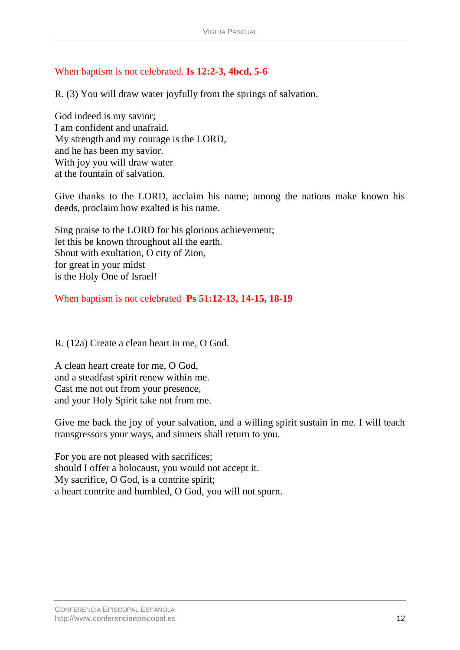# When baptism is not celebrated. **Is 12:2-3, 4bcd, 5-6**

R. (3) You will draw water joyfully from the springs of salvation.

God indeed is my savior; I am confident and unafraid. My strength and my courage is the LORD, and he has been my savior. With joy you will draw water at the fountain of salvation.

Give thanks to the LORD, acclaim his name; among the nations make known his deeds, proclaim how exalted is his name.

Sing praise to the LORD for his glorious achievement; let this be known throughout all the earth. Shout with exultation, O city of Zion, for great in your midst is the Holy One of Israel!

When baptism is not celebrated **Ps 51:12-13, 14-15, 18-19** 

R. (12a) Create a clean heart in me, O God.

A clean heart create for me, O God, and a steadfast spirit renew within me. Cast me not out from your presence, and your Holy Spirit take not from me.

Give me back the joy of your salvation, and a willing spirit sustain in me. I will teach transgressors your ways, and sinners shall return to you.

For you are not pleased with sacrifices; should I offer a holocaust, you would not accept it. My sacrifice, O God, is a contrite spirit; a heart contrite and humbled, O God, you will not spurn.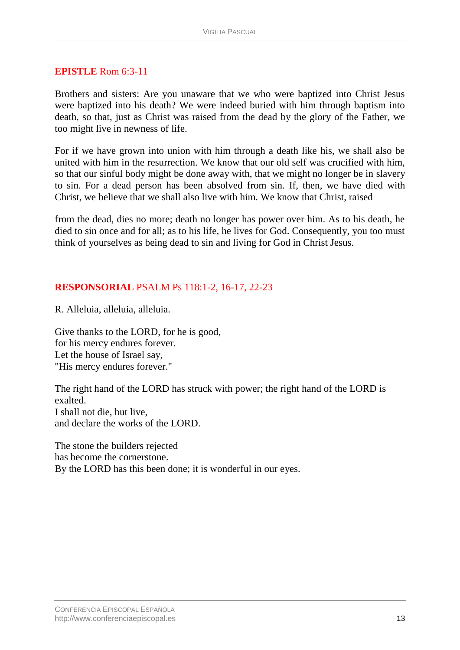#### **EPISTLE** Rom 6:3-11

Brothers and sisters: Are you unaware that we who were baptized into Christ Jesus were baptized into his death? We were indeed buried with him through baptism into death, so that, just as Christ was raised from the dead by the glory of the Father, we too might live in newness of life.

For if we have grown into union with him through a death like his, we shall also be united with him in the resurrection. We know that our old self was crucified with him, so that our sinful body might be done away with, that we might no longer be in slavery to sin. For a dead person has been absolved from sin. If, then, we have died with Christ, we believe that we shall also live with him. We know that Christ, raised

from the dead, dies no more; death no longer has power over him. As to his death, he died to sin once and for all; as to his life, he lives for God. Consequently, you too must think of yourselves as being dead to sin and living for God in Christ Jesus.

## **RESPONSORIAL** PSALM Ps 118:1-2, 16-17, 22-23

R. Alleluia, alleluia, alleluia.

Give thanks to the LORD, for he is good, for his mercy endures forever. Let the house of Israel say, "His mercy endures forever."

The right hand of the LORD has struck with power; the right hand of the LORD is exalted. I shall not die, but live, and declare the works of the LORD.

The stone the builders rejected has become the cornerstone. By the LORD has this been done; it is wonderful in our eyes.